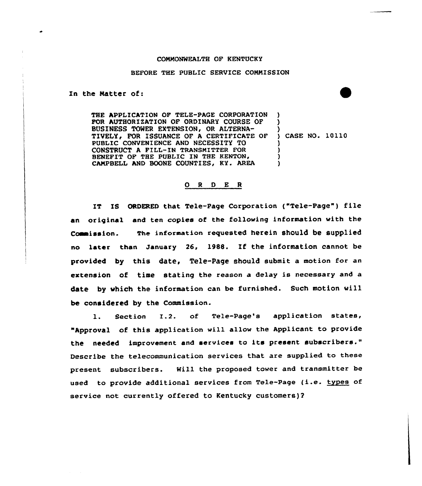## COMMONWEALTH OF KENTUCKY

## BEFORE THE PUBLIC SERVICE COMMISSION

In the Matter of:

THE APPLICATION OF TELE-PAGE CORPORATION FOR AUTHORIZATION OF ORDINARY COURSE OF BUSINESS TOWER EXTENSION, OR ALTERNA-TIVELY, FOR ISSUANCE OF A CERTIFICATE OF PUBLIC CONVENIENCE AND NECESSITY TO CONSTRUCT <sup>A</sup> PILL-IN TRANSMITTER FOR BENEFIT OF THE PUBLIC IN THE KENTON, CAMPBELL AND BOONE COUNTIES, KY. AREA ) ) ) ) CASE NO. 10110 ) ) ) )

## 0 <sup>R</sup> <sup>D</sup> E <sup>R</sup>

IT IS ORDERED that Tele-Page Corporation ("Tele-Page") file an original and ten copies of the following information with the Commission. The information requested herein should be supplied no later than January 26, 19&8. If the information cannot be provided by this date, Tele-Page should submit a motion for an extension of time stating the reason a delay is necessary and a date by vhich the information can be furnished. Such motion vill be considered by the Commission.

l. Section I.2. of Tele-Page's application states, "Approval of this application will allow the Applicant to provide the needed improvement and services to its present subscribers." Describe the telecommunication services that are supplied to these present subscribers. Will the proposed tower and transmitter be used to provide additional services from Tele-Page (i.e. types of service not currently offered to Kentucky customers)?